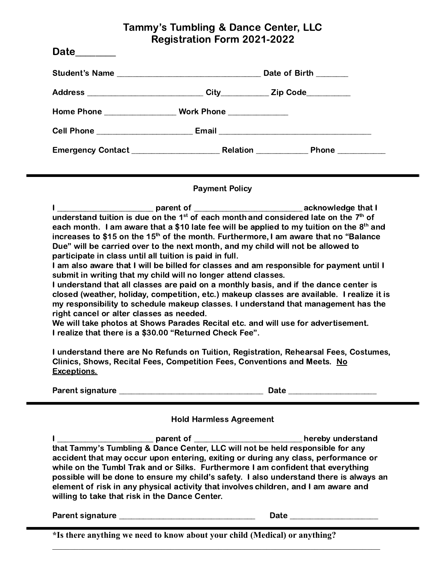## Tammy's Tumbling & Dance Center, LLC Registration Form 2021-2022

| Date_______ |                       |  |
|-------------|-----------------------|--|
|             | Date of Birth _______ |  |
|             |                       |  |
|             |                       |  |
|             |                       |  |
|             |                       |  |

## Payment Policy

| parent of                                                                        | acknowledge that I                                                                                           |
|----------------------------------------------------------------------------------|--------------------------------------------------------------------------------------------------------------|
|                                                                                  | understand tuition is due on the 1 <sup>st</sup> of each month and considered late on the 7 <sup>th</sup> of |
|                                                                                  | each month. I am aware that a \$10 late fee will be applied to my tuition on the 8 <sup>th</sup> and         |
|                                                                                  | increases to \$15 on the 15 <sup>th</sup> of the month. Furthermore, I am aware that no "Balance             |
| Due" will be carried over to the next month, and my child will not be allowed to |                                                                                                              |
| participate in class until all tuition is paid in full.                          |                                                                                                              |
|                                                                                  |                                                                                                              |

I am also aware that I will be billed for classes and am responsible for payment until I submit in writing that my child will no longer attend classes.

I understand that all classes are paid on a monthly basis, and if the dance center is closed (weather, holiday, competition, etc.) makeup classes are available. I realize it is my responsibility to schedule makeup classes. I understand that management has the right cancel or alter classes as needed.

We will take photos at Shows Parades Recital etc. and will use for advertisement. I realize that there is a \$30.00 "Returned Check Fee".

I understand there are No Refunds on Tuition, Registration, Rehearsal Fees, Costumes, Clinics, Shows, Recital Fees, Competition Fees, Conventions and Meets. No Exceptions.

Parent signature \_\_\_\_\_\_\_\_\_\_\_\_\_\_\_\_\_\_\_\_\_\_\_\_\_\_\_\_\_\_\_\_\_\_\_\_ Date \_\_\_\_\_\_\_\_\_\_\_\_\_\_\_\_\_\_\_\_\_\_

| - |  |  |  |  |  |
|---|--|--|--|--|--|

## Hold Harmless Agreement

I \_\_\_\_\_\_\_\_\_\_\_\_\_\_\_\_\_\_\_\_\_\_\_\_ parent of \_\_\_\_\_\_\_\_\_\_\_\_\_\_\_\_\_\_\_\_\_\_\_\_\_\_\_ hereby understand that Tammy's Tumbling & Dance Center, LLC will not be held responsible for any accident that may occur upon entering, exiting or during any class, performance or while on the Tumbl Trak and or Silks. Furthermore I am confident that everything possible will be done to ensure my child's safety. I also understand there is always an element of risk in any physical activity that involves children, and I am aware and willing to take that risk in the Dance Center.

 $\mathcal{L}_\mathcal{L} = \{ \mathcal{L}_\mathcal{L} = \{ \mathcal{L}_\mathcal{L} = \{ \mathcal{L}_\mathcal{L} = \{ \mathcal{L}_\mathcal{L} = \{ \mathcal{L}_\mathcal{L} = \{ \mathcal{L}_\mathcal{L} = \{ \mathcal{L}_\mathcal{L} = \{ \mathcal{L}_\mathcal{L} = \{ \mathcal{L}_\mathcal{L} = \{ \mathcal{L}_\mathcal{L} = \{ \mathcal{L}_\mathcal{L} = \{ \mathcal{L}_\mathcal{L} = \{ \mathcal{L}_\mathcal{L} = \{ \mathcal{L}_\mathcal{$ 

Parent signature \_\_\_\_\_\_\_\_\_\_\_\_\_\_\_\_\_\_\_\_\_\_\_\_\_\_\_\_\_\_\_\_\_\_ Date \_\_\_\_\_\_\_\_\_\_\_\_\_\_\_\_\_\_\_\_\_\_

**\*Is there anything we need to know about your child (Medical) or anything?**